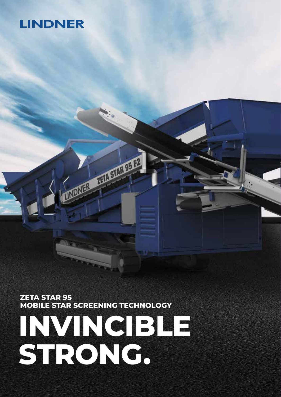# **LINDNER**

**ZETA STAR 95 MOBILE STAR SCREENING TECHNOLOGY**

**RICHARGE PRODUCTS** 

# **INVINCIBLE STRONG.**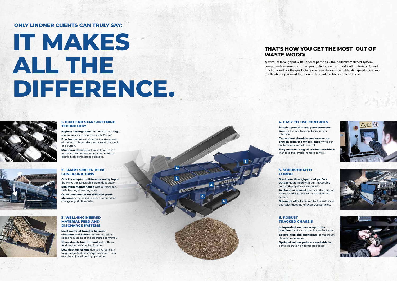**1.**

**INDNER** 

**2.**

**3.**

**4.**

**6.**

## **1. HIGH-END STAR SCREENING TECHNOLOGY**

Highest throughputs guaranteed by a large screening area of approximately 11.6 m².

Precise output – customise the star speed of the two different deck sections at the touch of a button.

**Minimum downtime** thanks to our wearand-tear-resistant screening stars made of elastic high-performance plastics.



Simple operation and parameter-setting via the intuitive touchscreen user



### **2. SMART SCREEN DECK CONFIGURATIONS**

Quickly adapts to different-quality input thanks to the adjustable screen deck angle. **Minimum maintenance** with our inclined, self-cleaning screening area.

Maximum throughput and perfect output quaranteed with our impeccably Active dust control thanks to the optional





Quick conversion for different particle sizesmade possible with a screen deck change in just 60 minutes.



**Minimum effort** ensured by the automatic and safe refeeding of oversized particles.

### **4. EASY-TO-USE CONTROLS**

interface.

Convenient shredder and screen operation from the wheel loader with our customisable remote control.

Easy manoeuvring of tracked machines thanks to the joystick remote control.

## **5. SOPHISTICATED COMBO**

compatible system components. water sprinkling system on shredder and screen.

# **IT MAKES ALL THE DIFFERENCE.**



## **ONLY LINDNER CLIENTS CAN TRULY SAY:**

# **THAT'S HOW YOU GET THE MOST OUT OF WASTE WOOD:**

Maximum throughput with uniform particles – the perfectly matched system components ensure maximum productivity, even with difficult materials. Smart functions such as the quick-change screen deck and variable star speeds give you the flexibility you need to produce different fractions in record time.

## **6. ROBUST TRACKED CHASSIS**

Independent manoeuvring of the machine thanks to hydraulic crawler tracks. Secure hold and anchoring for maximum stability in operation. Optional rubber pads are available for gentle operation on tarmacked areas.

**5.**

## **3. WELL-ENGINEERED MATERIAL FEED AND DISCHARGE SYSTEMS**

Ideal material transfer between shredder and screen thanks to optional speed regulation of the discharge conveyor. Consistently high throughput with our

feed hopper with dosing function. Low dust emissions due to hydraulically height-adjustable discharge conveyor – can even be adjusted during operation.